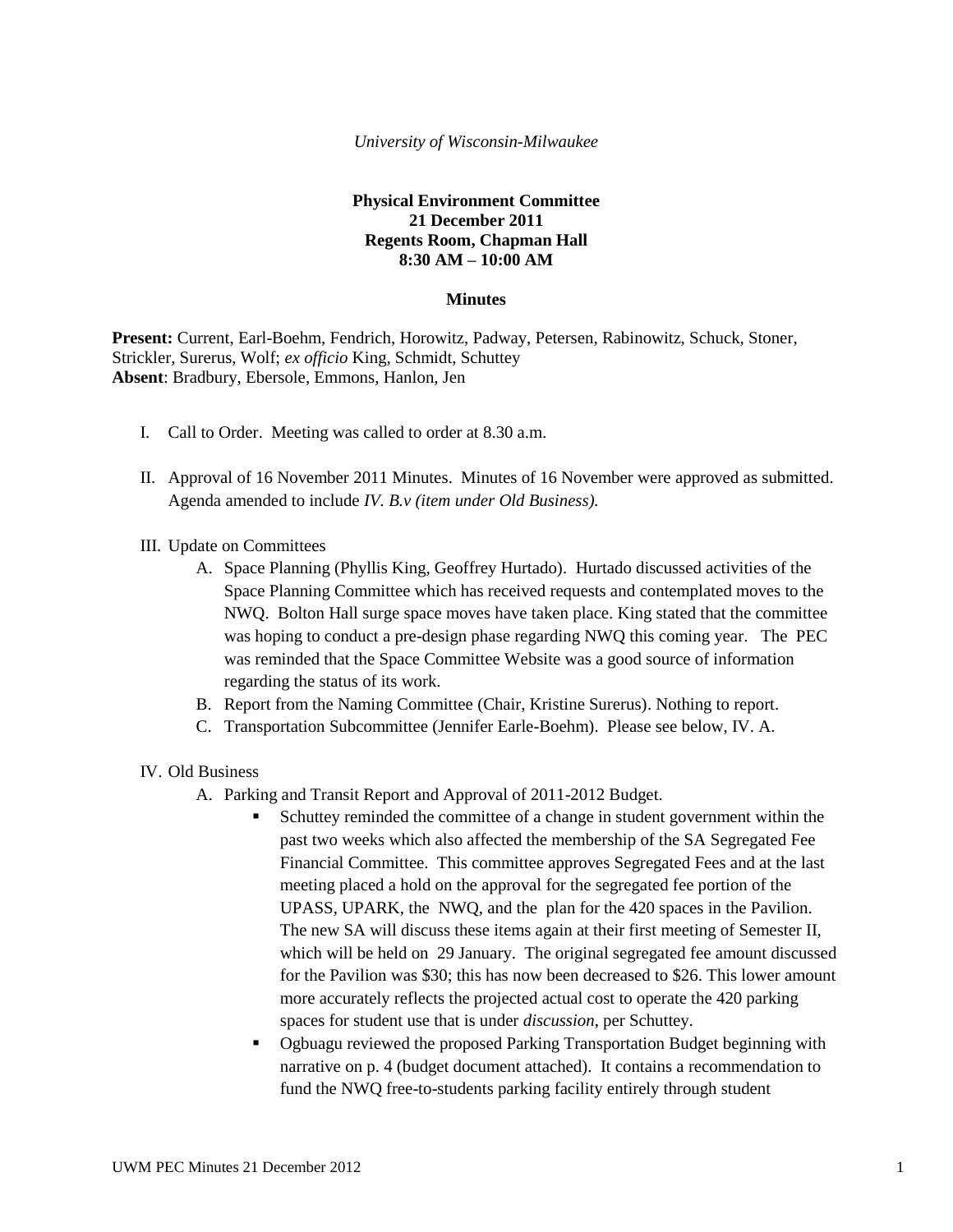### *University of Wisconsin-Milwaukee*

# **Physical Environment Committee 21 December 2011 Regents Room, Chapman Hall 8:30 AM – 10:00 AM**

## **Minutes**

**Present:** Current, Earl-Boehm, Fendrich, Horowitz, Padway, Petersen, Rabinowitz, Schuck, Stoner, Strickler, Surerus, Wolf; *ex officio* King, Schmidt, Schuttey **Absent**: Bradbury, Ebersole, Emmons, Hanlon, Jen

- I. Call to Order. Meeting was called to order at 8.30 a.m.
- II. Approval of 16 November 2011 Minutes. Minutes of 16 November were approved as submitted. Agenda amended to include *IV. B.v (item under Old Business).*

#### III. Update on Committees

- A. Space Planning (Phyllis King, Geoffrey Hurtado). Hurtado discussed activities of the Space Planning Committee which has received requests and contemplated moves to the NWQ. Bolton Hall surge space moves have taken place. King stated that the committee was hoping to conduct a pre-design phase regarding NWQ this coming year. The PEC was reminded that the Space Committee Website was a good source of information regarding the status of its work.
- B. Report from the Naming Committee (Chair, Kristine Surerus). Nothing to report.
- C. Transportation Subcommittee (Jennifer Earle-Boehm). Please see below, IV. A.

#### IV. Old Business

- A. Parking and Transit Report and Approval of 2011-2012 Budget.
	- Schuttey reminded the committee of a change in student government within the past two weeks which also affected the membership of the SA Segregated Fee Financial Committee. This committee approves Segregated Fees and at the last meeting placed a hold on the approval for the segregated fee portion of the UPASS, UPARK, the NWQ, and the plan for the 420 spaces in the Pavilion. The new SA will discuss these items again at their first meeting of Semester II, which will be held on 29 January. The original segregated fee amount discussed for the Pavilion was \$30; this has now been decreased to \$26. This lower amount more accurately reflects the projected actual cost to operate the 420 parking spaces for student use that is under *discussion*, per Schuttey.
	- Ogbuagu reviewed the proposed Parking Transportation Budget beginning with narrative on p. 4 (budget document attached). It contains a recommendation to fund the NWQ free-to-students parking facility entirely through student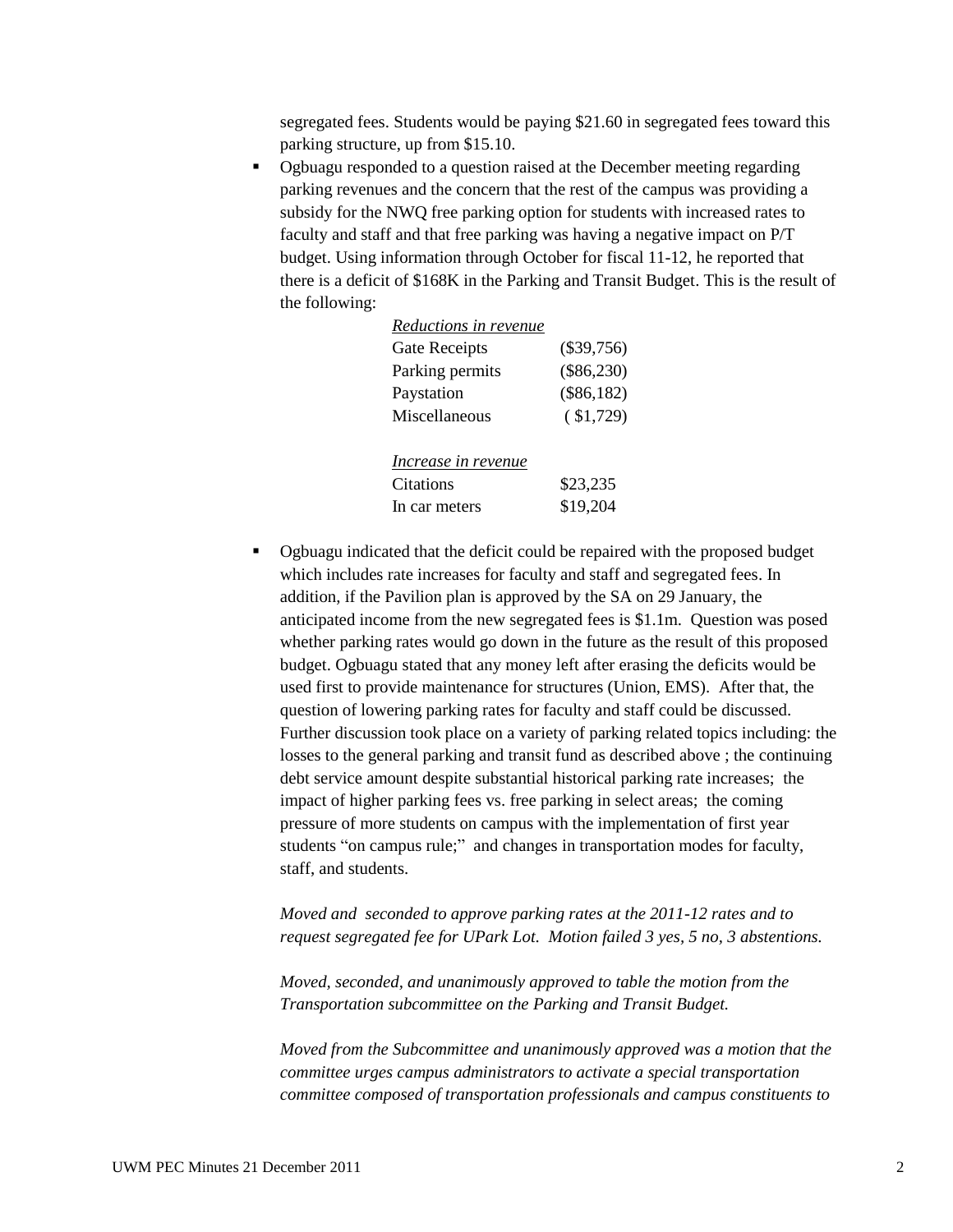segregated fees. Students would be paying \$21.60 in segregated fees toward this parking structure, up from \$15.10.

 Ogbuagu responded to a question raised at the December meeting regarding parking revenues and the concern that the rest of the campus was providing a subsidy for the NWQ free parking option for students with increased rates to faculty and staff and that free parking was having a negative impact on P/T budget. Using information through October for fiscal 11-12, he reported that there is a deficit of \$168K in the Parking and Transit Budget. This is the result of the following:

| Reductions in revenue |              |
|-----------------------|--------------|
| Gate Receipts         | $(\$39,756)$ |
| Parking permits       | $(\$86,230)$ |
| Paystation            | $(\$86,182)$ |
| Miscellaneous         | $(*1,729)$   |
| Increase in revenue   |              |
| Citations             | \$23,235     |
| In car meters         | \$19,204     |
|                       |              |

• Ogbuagu indicated that the deficit could be repaired with the proposed budget which includes rate increases for faculty and staff and segregated fees. In addition, if the Pavilion plan is approved by the SA on 29 January, the anticipated income from the new segregated fees is \$1.1m. Question was posed whether parking rates would go down in the future as the result of this proposed budget. Ogbuagu stated that any money left after erasing the deficits would be used first to provide maintenance for structures (Union, EMS). After that, the question of lowering parking rates for faculty and staff could be discussed. Further discussion took place on a variety of parking related topics including: the losses to the general parking and transit fund as described above ; the continuing debt service amount despite substantial historical parking rate increases; the impact of higher parking fees vs. free parking in select areas; the coming pressure of more students on campus with the implementation of first year students "on campus rule;" and changes in transportation modes for faculty, staff, and students.

*Moved and seconded to approve parking rates at the 2011-12 rates and to request segregated fee for UPark Lot. Motion failed 3 yes, 5 no, 3 abstentions.*

*Moved, seconded, and unanimously approved to table the motion from the Transportation subcommittee on the Parking and Transit Budget.*

*Moved from the Subcommittee and unanimously approved was a motion that the committee urges campus administrators to activate a special transportation committee composed of transportation professionals and campus constituents to*